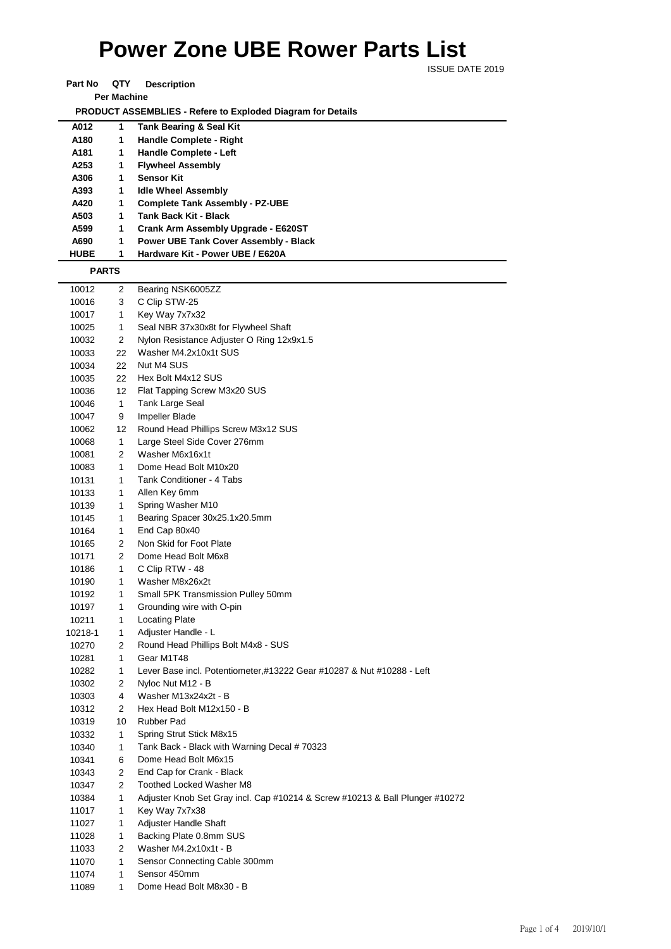## **Power Zone UBE Rower Parts List**

ISSUE DATE 2019

| Part No | QTY                | <b>Description</b> |
|---------|--------------------|--------------------|
|         | <b>Per Machine</b> |                    |

 **PRODUCT ASSEMBLIES - Refere to Exploded Diagram for Details** 

| A012           | 1            | <b>Tank Bearing &amp; Seal Kit</b>                                           |
|----------------|--------------|------------------------------------------------------------------------------|
| A180           | 1            | <b>Handle Complete - Right</b>                                               |
| A181           | 1            | Handle Complete - Left                                                       |
| A253           | 1            | <b>Flywheel Assembly</b>                                                     |
| A306           | 1            | <b>Sensor Kit</b>                                                            |
| A393           | 1            | <b>Idle Wheel Assembly</b>                                                   |
| A420           | 1            | <b>Complete Tank Assembly - PZ-UBE</b>                                       |
| A503           | 1            | <b>Tank Back Kit - Black</b>                                                 |
| A599           | 1            | Crank Arm Assembly Upgrade - E620ST                                          |
| A690           | 1            | Power UBE Tank Cover Assembly - Black                                        |
| <b>HUBE</b>    | 1            | Hardware Kit - Power UBE / E620A                                             |
| <b>PARTS</b>   |              |                                                                              |
| 10012          | 2            | Bearing NSK6005ZZ                                                            |
| 10016          | 3            | C Clip STW-25                                                                |
| 10017          | 1            | Key Way 7x7x32                                                               |
| 10025          | 1            | Seal NBR 37x30x8t for Flywheel Shaft                                         |
| 10032          | 2            | Nylon Resistance Adjuster O Ring 12x9x1.5                                    |
| 10033          | 22           | Washer M4.2x10x1t SUS                                                        |
| 10034          | 22           | Nut M4 SUS                                                                   |
| 10035          | 22           | Hex Bolt M4x12 SUS                                                           |
| 10036          | 12           | Flat Tapping Screw M3x20 SUS                                                 |
| 10046          | $\mathbf{1}$ | Tank Large Seal                                                              |
| 10047          | 9            | Impeller Blade                                                               |
| 10062          | 12           | Round Head Phillips Screw M3x12 SUS                                          |
| 10068          | 1            | Large Steel Side Cover 276mm                                                 |
| 10081          | 2            | Washer M6x16x1t                                                              |
| 10083          | 1            | Dome Head Bolt M10x20                                                        |
| 10131          | 1            | Tank Conditioner - 4 Tabs                                                    |
| 10133          | 1            | Allen Key 6mm                                                                |
| 10139          | 1            | Spring Washer M10                                                            |
| 10145          | 1            | Bearing Spacer 30x25.1x20.5mm                                                |
| 10164          | 1<br>2       | End Cap 80x40                                                                |
| 10165          | 2            | Non Skid for Foot Plate<br>Dome Head Bolt M6x8                               |
| 10171          | 1            | C Clip RTW - 48                                                              |
| 10186<br>10190 | 1            | Washer M8x26x2t                                                              |
| 10192          | 1            | Small 5PK Transmission Pulley 50mm                                           |
| 10197          | 1            | Grounding wire with O-pin                                                    |
| 10211          | 1            | Locating Plate                                                               |
| 10218-1        | 1            | Adjuster Handle - L                                                          |
| 10270          | 2            | Round Head Phillips Bolt M4x8 - SUS                                          |
| 10281          | 1            | Gear M1T48                                                                   |
| 10282          | 1            | Lever Base incl. Potentiometer,#13222 Gear #10287 & Nut #10288 - Left        |
| 10302          | 2            | Nyloc Nut M12 - B                                                            |
| 10303          | 4            | Washer M13x24x2t - B                                                         |
| 10312          | 2            | Hex Head Bolt M12x150 - B                                                    |
| 10319          | 10           | <b>Rubber Pad</b>                                                            |
| 10332          | 1            | Spring Strut Stick M8x15                                                     |
| 10340          | 1            | Tank Back - Black with Warning Decal # 70323                                 |
| 10341          | 6            | Dome Head Bolt M6x15                                                         |
| 10343          | 2            | End Cap for Crank - Black                                                    |
| 10347          | 2            | Toothed Locked Washer M8                                                     |
| 10384          | 1            | Adjuster Knob Set Gray incl. Cap #10214 & Screw #10213 & Ball Plunger #10272 |
| 11017          | 1            | Key Way 7x7x38                                                               |
| 11027          | 1            | Adjuster Handle Shaft                                                        |
| 11028          | 1            | Backing Plate 0.8mm SUS                                                      |
| 11033          | 2            | Washer M4.2x10x1t - B                                                        |
| 11070          | 1            | Sensor Connecting Cable 300mm                                                |
| 11074          | 1            | Sensor 450mm                                                                 |
| 11089          | 1            | Dome Head Bolt M8x30 - B                                                     |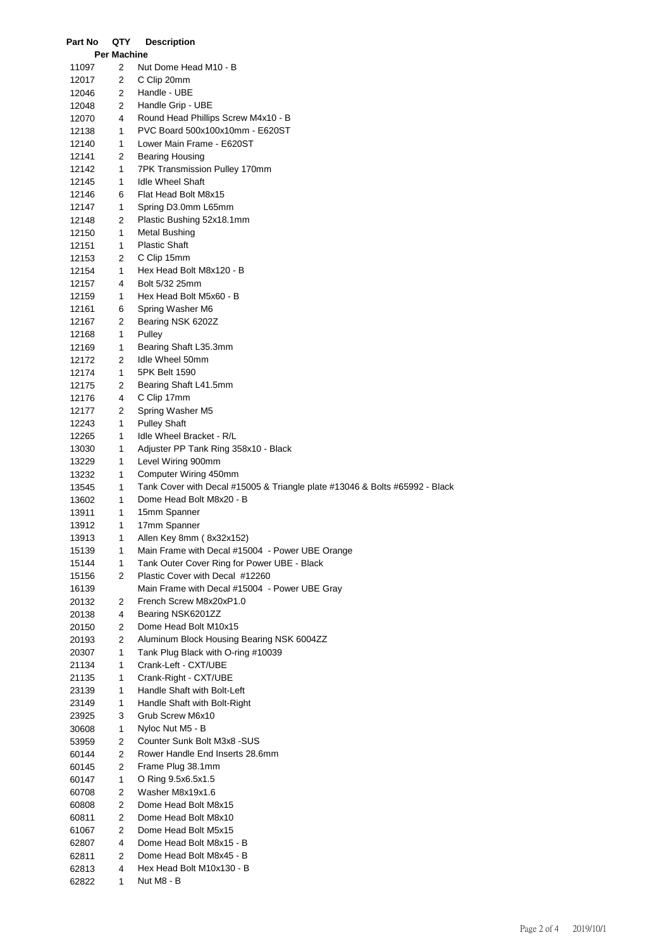| Part No | QTY         | <b>Description</b>                                                          |
|---------|-------------|-----------------------------------------------------------------------------|
|         | Per Machine |                                                                             |
| 11097   | 2           | Nut Dome Head M10 - B                                                       |
| 12017   | 2           | C Clip 20mm                                                                 |
| 12046   | 2           | Handle - UBE                                                                |
| 12048   | 2           | Handle Grip - UBE                                                           |
| 12070   | 4           | Round Head Phillips Screw M4x10 - B                                         |
| 12138   | 1           | PVC Board 500x100x10mm - E620ST                                             |
| 12140   | 1           | Lower Main Frame - E620ST                                                   |
| 12141   | 2           | <b>Bearing Housing</b>                                                      |
| 12142   | 1           | 7PK Transmission Pulley 170mm                                               |
| 12145   | 1           | <b>Idle Wheel Shaft</b>                                                     |
| 12146   | 6           | Flat Head Bolt M8x15                                                        |
| 12147   | 1           | Spring D3.0mm L65mm                                                         |
| 12148   | 2           | Plastic Bushing 52x18.1mm                                                   |
| 12150   | 1           | <b>Metal Bushing</b>                                                        |
| 12151   | 1           | <b>Plastic Shaft</b>                                                        |
| 12153   | 2           | C Clip 15mm                                                                 |
| 12154   | 1           | Hex Head Bolt M8x120 - B                                                    |
| 12157   | 4           | Bolt 5/32 25mm                                                              |
| 12159   | 1           | Hex Head Bolt M5x60 - B                                                     |
| 12161   | 6           | Spring Washer M6                                                            |
| 12167   | 2           | Bearing NSK 6202Z                                                           |
| 12168   | 1           | Pulley                                                                      |
| 12169   | 1           | Bearing Shaft L35.3mm                                                       |
| 12172   | 2           | Idle Wheel 50mm                                                             |
| 12174   | 1           | 5PK Belt 1590                                                               |
| 12175   | 2           | Bearing Shaft L41.5mm                                                       |
| 12176   | 4           | C Clip 17mm                                                                 |
| 12177   | 2           | Spring Washer M5                                                            |
| 12243   | 1           | <b>Pulley Shaft</b>                                                         |
| 12265   | 1           | Idle Wheel Bracket - R/L                                                    |
| 13030   | 1           | Adjuster PP Tank Ring 358x10 - Black                                        |
| 13229   | 1           | Level Wiring 900mm                                                          |
| 13232   | 1           | Computer Wiring 450mm                                                       |
| 13545   | 1           | Tank Cover with Decal #15005 & Triangle plate #13046 & Bolts #65992 - Black |
| 13602   | 1           | Dome Head Bolt M8x20 - B                                                    |
| 13911   | 1           | 15mm Spanner                                                                |
| 13912   | 1           | 17mm Spanner                                                                |
| 13913   | 1           | Allen Key 8mm (8x32x152)                                                    |
| 15139   | 1           | Main Frame with Decal #15004 - Power UBE Orange                             |
| 15144   | 1           | Tank Outer Cover Ring for Power UBE - Black                                 |
| 15156   | 2           | Plastic Cover with Decal #12260                                             |
| 16139   |             | Main Frame with Decal #15004 - Power UBE Gray                               |
| 20132   | 2           | French Screw M8x20xP1.0                                                     |
| 20138   | 4           | Bearing NSK6201ZZ                                                           |
| 20150   | 2           | Dome Head Bolt M10x15                                                       |
| 20193   | 2           | Aluminum Block Housing Bearing NSK 6004ZZ                                   |
| 20307   | 1           | Tank Plug Black with O-ring #10039                                          |
| 21134   | 1           | Crank-Left - CXT/UBE                                                        |
| 21135   | 1           | Crank-Right - CXT/UBE                                                       |
| 23139   | 1           | Handle Shaft with Bolt-Left                                                 |
| 23149   | 1           | Handle Shaft with Bolt-Right                                                |
| 23925   | 3           | Grub Screw M6x10                                                            |
| 30608   | 1           | Nyloc Nut M5 - B                                                            |
| 53959   | 2           | Counter Sunk Bolt M3x8 -SUS                                                 |
| 60144   | 2           | Rower Handle End Inserts 28.6mm                                             |
| 60145   | 2           | Frame Plug 38.1mm                                                           |
| 60147   | 1           | O Ring 9.5x6.5x1.5                                                          |
| 60708   | 2           | Washer M8x19x1.6                                                            |
| 60808   | 2           | Dome Head Bolt M8x15                                                        |
| 60811   | 2           | Dome Head Bolt M8x10                                                        |
| 61067   | 2           | Dome Head Bolt M5x15                                                        |
| 62807   | 4           | Dome Head Bolt M8x15 - B                                                    |
| 62811   | 2           | Dome Head Bolt M8x45 - B                                                    |
| 62813   | 4           | Hex Head Bolt M10x130 - B                                                   |
| 62822   | 1           | Nut M8 - B                                                                  |
|         |             |                                                                             |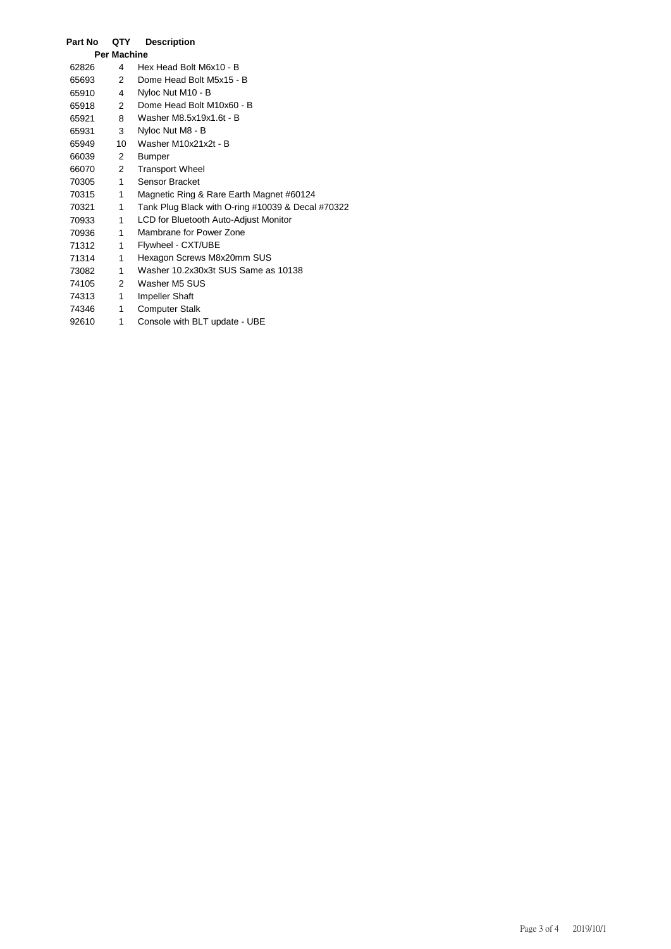| Part No            | QTY          | <b>Description</b>                                |
|--------------------|--------------|---------------------------------------------------|
| <b>Per Machine</b> |              |                                                   |
| 62826              | 4            | Hex Head Bolt M6x10 - B                           |
| 65693              | 2            | Dome Head Bolt M5x15 - B                          |
| 65910              | 4            | Nyloc Nut M10 - B                                 |
| 65918              | $\mathbf{2}$ | Dome Head Bolt M10x60 - B                         |
| 65921              | 8            | Washer M8.5x19x1.6t - B                           |
| 65931              | 3            | Nyloc Nut M8 - B                                  |
| 65949              | 10           | Washer M10x21x2t - B                              |
| 66039              | 2            | Bumper                                            |
| 66070              | $\mathbf{2}$ | <b>Transport Wheel</b>                            |
| 70305              | $\mathbf{1}$ | Sensor Bracket                                    |
| 70315              | 1            | Magnetic Ring & Rare Earth Magnet #60124          |
| 70321              | 1            | Tank Plug Black with O-ring #10039 & Decal #70322 |
| 70933              | 1            | LCD for Bluetooth Auto-Adjust Monitor             |
| 70936              | 1            | Mambrane for Power Zone                           |
| 71312              | 1            | Flywheel - CXT/UBE                                |
| 71314              | 1            | Hexagon Screws M8x20mm SUS                        |
| 73082              | 1            | Washer 10.2x30x3t SUS Same as 10138               |
| 74105              | $\mathbf{2}$ | Washer M5 SUS                                     |
| 74313              | 1            | <b>Impeller Shaft</b>                             |
| 74346              | 1            | <b>Computer Stalk</b>                             |
| 92610              | 1            | Console with BLT update - UBE                     |